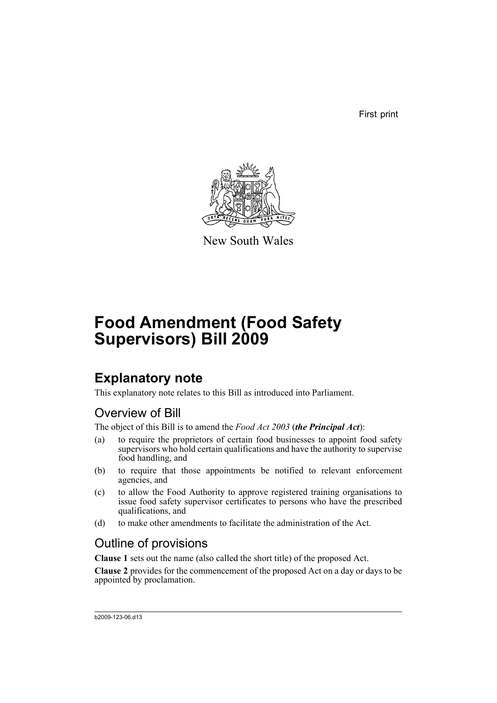First print



New South Wales

# **Food Amendment (Food Safety Supervisors) Bill 2009**

## **Explanatory note**

This explanatory note relates to this Bill as introduced into Parliament.

## Overview of Bill

The object of this Bill is to amend the *Food Act 2003* (*the Principal Act*):

- (a) to require the proprietors of certain food businesses to appoint food safety supervisors who hold certain qualifications and have the authority to supervise food handling, and
- (b) to require that those appointments be notified to relevant enforcement agencies, and
- (c) to allow the Food Authority to approve registered training organisations to issue food safety supervisor certificates to persons who have the prescribed qualifications, and
- (d) to make other amendments to facilitate the administration of the Act.

### Outline of provisions

**Clause 1** sets out the name (also called the short title) of the proposed Act.

**Clause 2** provides for the commencement of the proposed Act on a day or days to be appointed by proclamation.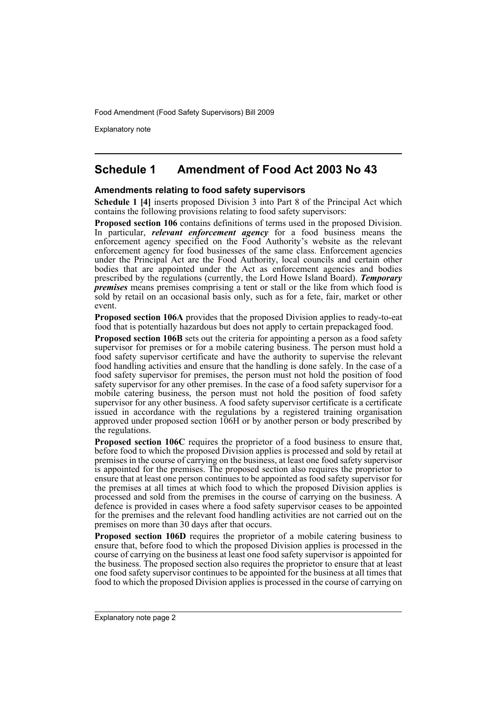Explanatory note

### **Schedule 1 Amendment of Food Act 2003 No 43**

### **Amendments relating to food safety supervisors**

**Schedule 1 [4]** inserts proposed Division 3 into Part 8 of the Principal Act which contains the following provisions relating to food safety supervisors:

**Proposed section 106** contains definitions of terms used in the proposed Division. In particular, *relevant enforcement agency* for a food business means the enforcement agency specified on the Food Authority's website as the relevant enforcement agency for food businesses of the same class. Enforcement agencies under the Principal Act are the Food Authority, local councils and certain other bodies that are appointed under the Act as enforcement agencies and bodies prescribed by the regulations (currently, the Lord Howe Island Board). *Temporary premises* means premises comprising a tent or stall or the like from which food is sold by retail on an occasional basis only, such as for a fete, fair, market or other event.

**Proposed section 106A** provides that the proposed Division applies to ready-to-eat food that is potentially hazardous but does not apply to certain prepackaged food.

**Proposed section 106B** sets out the criteria for appointing a person as a food safety supervisor for premises or for a mobile catering business. The person must hold a food safety supervisor certificate and have the authority to supervise the relevant food handling activities and ensure that the handling is done safely. In the case of a food safety supervisor for premises, the person must not hold the position of food safety supervisor for any other premises. In the case of a food safety supervisor for a mobile catering business, the person must not hold the position of food safety supervisor for any other business. A food safety supervisor certificate is a certificate issued in accordance with the regulations by a registered training organisation approved under proposed section 106H or by another person or body prescribed by the regulations.

**Proposed section 106C** requires the proprietor of a food business to ensure that, before food to which the proposed Division applies is processed and sold by retail at premises in the course of carrying on the business, at least one food safety supervisor is appointed for the premises. The proposed section also requires the proprietor to ensure that at least one person continues to be appointed as food safety supervisor for the premises at all times at which food to which the proposed Division applies is processed and sold from the premises in the course of carrying on the business. A defence is provided in cases where a food safety supervisor ceases to be appointed for the premises and the relevant food handling activities are not carried out on the premises on more than 30 days after that occurs.

**Proposed section 106D** requires the proprietor of a mobile catering business to ensure that, before food to which the proposed Division applies is processed in the course of carrying on the business at least one food safety supervisor is appointed for the business. The proposed section also requires the proprietor to ensure that at least one food safety supervisor continues to be appointed for the business at all times that food to which the proposed Division applies is processed in the course of carrying on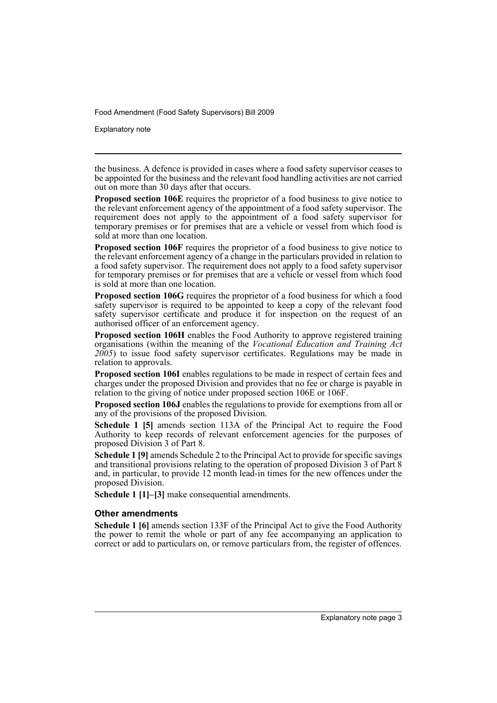Explanatory note

the business. A defence is provided in cases where a food safety supervisor ceases to be appointed for the business and the relevant food handling activities are not carried out on more than 30 days after that occurs.

**Proposed section 106E** requires the proprietor of a food business to give notice to the relevant enforcement agency of the appointment of a food safety supervisor. The requirement does not apply to the appointment of a food safety supervisor for temporary premises or for premises that are a vehicle or vessel from which food is sold at more than one location.

**Proposed section 106F** requires the proprietor of a food business to give notice to the relevant enforcement agency of a change in the particulars provided in relation to a food safety supervisor. The requirement does not apply to a food safety supervisor for temporary premises or for premises that are a vehicle or vessel from which food is sold at more than one location.

**Proposed section 106G** requires the proprietor of a food business for which a food safety supervisor is required to be appointed to keep a copy of the relevant food safety supervisor certificate and produce it for inspection on the request of an authorised officer of an enforcement agency.

**Proposed section 106H** enables the Food Authority to approve registered training organisations (within the meaning of the *Vocational Education and Training Act 2005*) to issue food safety supervisor certificates. Regulations may be made in relation to approvals.

**Proposed section 106I** enables regulations to be made in respect of certain fees and charges under the proposed Division and provides that no fee or charge is payable in relation to the giving of notice under proposed section 106E or 106F.

**Proposed section 106J** enables the regulations to provide for exemptions from all or any of the provisions of the proposed Division.

**Schedule 1 [5]** amends section 113A of the Principal Act to require the Food Authority to keep records of relevant enforcement agencies for the purposes of proposed Division 3 of Part 8.

**Schedule 1 [9]** amends Schedule 2 to the Principal Act to provide for specific savings and transitional provisions relating to the operation of proposed Division 3 of Part 8 and, in particular, to provide 12 month lead-in times for the new offences under the proposed Division.

**Schedule 1 [1]–[3]** make consequential amendments.

### **Other amendments**

**Schedule 1 [6]** amends section 133F of the Principal Act to give the Food Authority the power to remit the whole or part of any fee accompanying an application to correct or add to particulars on, or remove particulars from, the register of offences.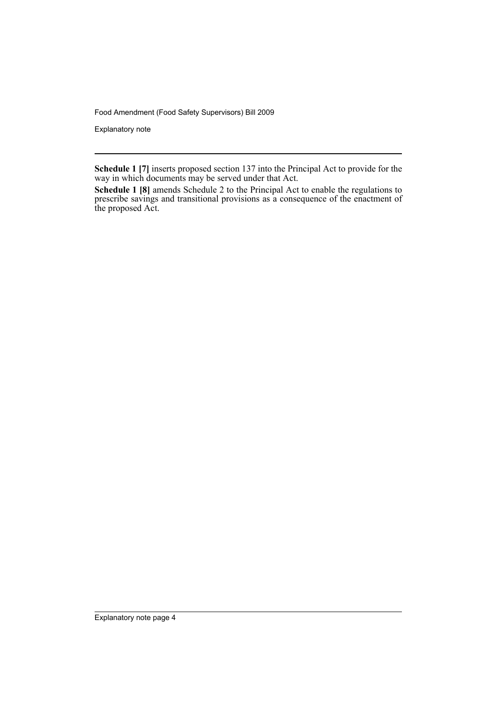Explanatory note

**Schedule 1 [7]** inserts proposed section 137 into the Principal Act to provide for the way in which documents may be served under that Act.

**Schedule 1 [8]** amends Schedule 2 to the Principal Act to enable the regulations to prescribe savings and transitional provisions as a consequence of the enactment of the proposed Act.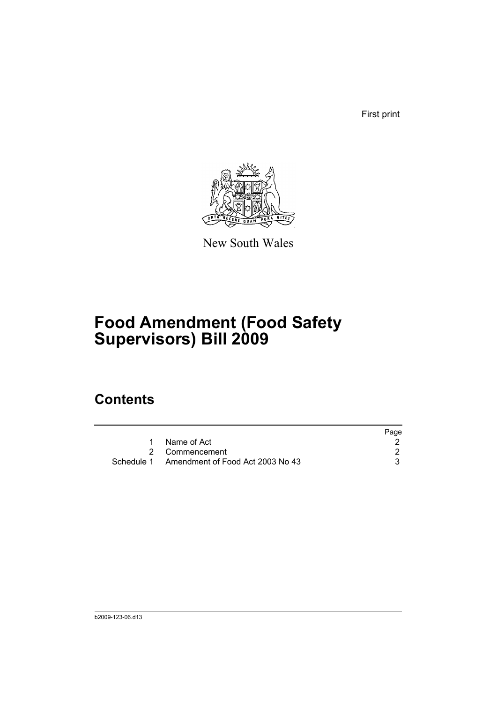First print



New South Wales

# **Food Amendment (Food Safety Supervisors) Bill 2009**

## **Contents**

|                                             | Page |
|---------------------------------------------|------|
| Name of Act                                 |      |
| 2 Commencement                              |      |
| Schedule 1 Amendment of Food Act 2003 No 43 |      |
|                                             |      |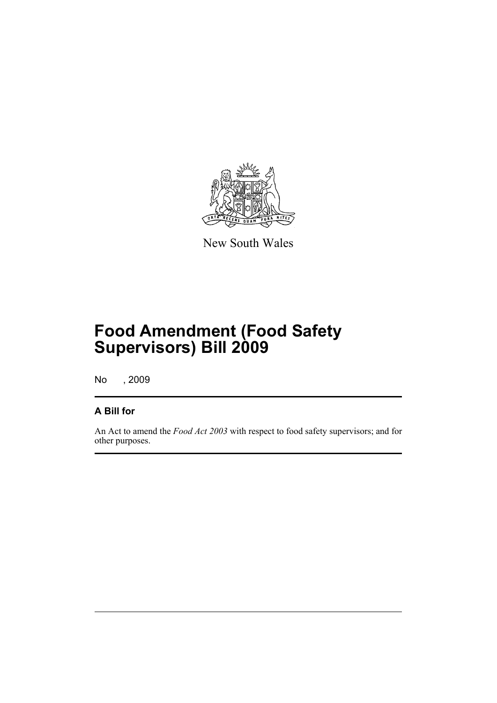

New South Wales

# **Food Amendment (Food Safety Supervisors) Bill 2009**

No , 2009

### **A Bill for**

An Act to amend the *Food Act 2003* with respect to food safety supervisors; and for other purposes.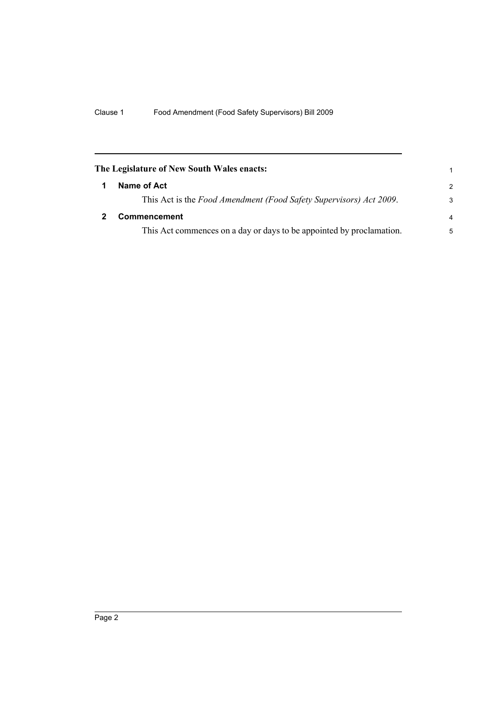<span id="page-7-1"></span><span id="page-7-0"></span>

| The Legislature of New South Wales enacts:                           | 1             |
|----------------------------------------------------------------------|---------------|
| Name of Act                                                          | $\mathcal{P}$ |
| This Act is the Food Amendment (Food Safety Supervisors) Act 2009.   | 3             |
| Commencement                                                         |               |
| This Act commences on a day or days to be appointed by proclamation. | 5             |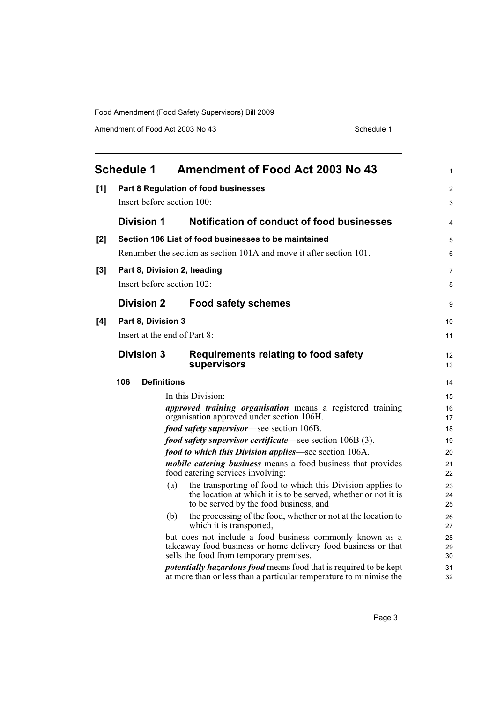Amendment of Food Act 2003 No 43 Schedule 1

<span id="page-8-0"></span>

|     | <b>Schedule 1</b> |                              |     | <b>Amendment of Food Act 2003 No 43</b>                                                                                                                                | 1              |
|-----|-------------------|------------------------------|-----|------------------------------------------------------------------------------------------------------------------------------------------------------------------------|----------------|
| [1] |                   |                              |     | Part 8 Regulation of food businesses                                                                                                                                   | $\overline{2}$ |
|     |                   | Insert before section 100:   |     |                                                                                                                                                                        | 3              |
|     |                   | <b>Division 1</b>            |     | Notification of conduct of food businesses                                                                                                                             | 4              |
| [2] |                   |                              |     | Section 106 List of food businesses to be maintained                                                                                                                   | 5              |
|     |                   |                              |     | Renumber the section as section 101A and move it after section 101.                                                                                                    | 6              |
| [3] |                   |                              |     | Part 8, Division 2, heading                                                                                                                                            | $\overline{7}$ |
|     |                   | Insert before section 102:   |     |                                                                                                                                                                        | 8              |
|     |                   | <b>Division 2</b>            |     | <b>Food safety schemes</b>                                                                                                                                             | 9              |
| [4] |                   | Part 8, Division 3           |     |                                                                                                                                                                        | 10             |
|     |                   | Insert at the end of Part 8: |     |                                                                                                                                                                        | 11             |
|     |                   | <b>Division 3</b>            |     | <b>Requirements relating to food safety</b><br>supervisors                                                                                                             | 12<br>13       |
|     | 106               | <b>Definitions</b>           |     |                                                                                                                                                                        | 14             |
|     |                   |                              |     | In this Division:                                                                                                                                                      | 15             |
|     |                   |                              |     | <i>approved training organisation</i> means a registered training<br>organisation approved under section 106H.                                                         | 16<br>17       |
|     |                   |                              |     | food safety supervisor—see section 106B.                                                                                                                               | 18             |
|     |                   |                              |     | <i>food safety supervisor certificate—see section 106B (3).</i>                                                                                                        | 19             |
|     |                   |                              |     | food to which this Division applies—see section 106A.                                                                                                                  | 20             |
|     |                   |                              |     | <i>mobile catering business</i> means a food business that provides<br>food catering services involving:                                                               | 21<br>22       |
|     |                   |                              | (a) | the transporting of food to which this Division applies to<br>the location at which it is to be served, whether or not it is<br>to be served by the food business, and | 23<br>24<br>25 |
|     |                   |                              | (b) | the processing of the food, whether or not at the location to<br>which it is transported,                                                                              | 26<br>27       |
|     |                   |                              |     | but does not include a food business commonly known as a<br>takeaway food business or home delivery food business or that<br>sells the food from temporary premises.   | 28<br>29<br>30 |
|     |                   |                              |     | <i>potentially hazardous food</i> means food that is required to be kept<br>at more than or less than a particular temperature to minimise the                         | 31<br>32       |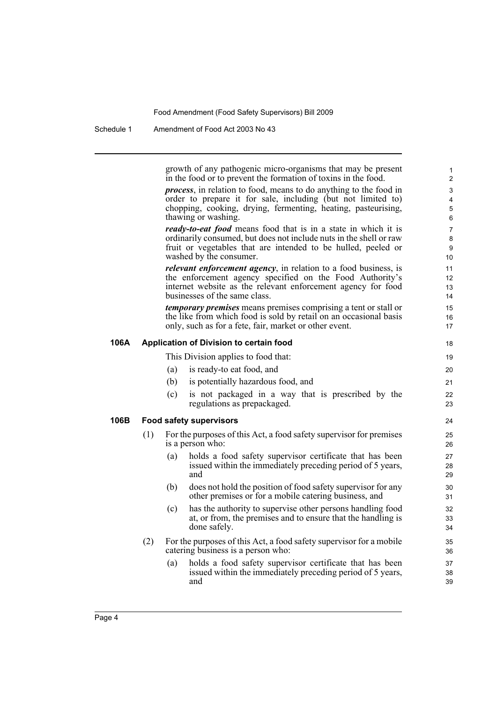Schedule 1 Amendment of Food Act 2003 No 43

growth of any pathogenic micro-organisms that may be present in the food or to prevent the formation of toxins in the food.

*process*, in relation to food, means to do anything to the food in order to prepare it for sale, including (but not limited to) chopping, cooking, drying, fermenting, heating, pasteurising, thawing or washing.

*ready-to-eat food* means food that is in a state in which it is ordinarily consumed, but does not include nuts in the shell or raw fruit or vegetables that are intended to be hulled, peeled or washed by the consumer.

*relevant enforcement agency*, in relation to a food business, is the enforcement agency specified on the Food Authority's internet website as the relevant enforcement agency for food businesses of the same class.

*temporary premises* means premises comprising a tent or stall or the like from which food is sold by retail on an occasional basis only, such as for a fete, fair, market or other event.

### **106A Application of Division to certain food**

This Division applies to food that:

- (a) is ready-to eat food, and
- (b) is potentially hazardous food, and
- (c) is not packaged in a way that is prescribed by the regulations as prepackaged.

### **106B Food safety supervisors**

- (1) For the purposes of this Act, a food safety supervisor for premises is a person who:
	- (a) holds a food safety supervisor certificate that has been issued within the immediately preceding period of 5 years, and
	- (b) does not hold the position of food safety supervisor for any other premises or for a mobile catering business, and
	- (c) has the authority to supervise other persons handling food at, or from, the premises and to ensure that the handling is done safely.
- (2) For the purposes of this Act, a food safety supervisor for a mobile catering business is a person who:
	- (a) holds a food safety supervisor certificate that has been issued within the immediately preceding period of 5 years, and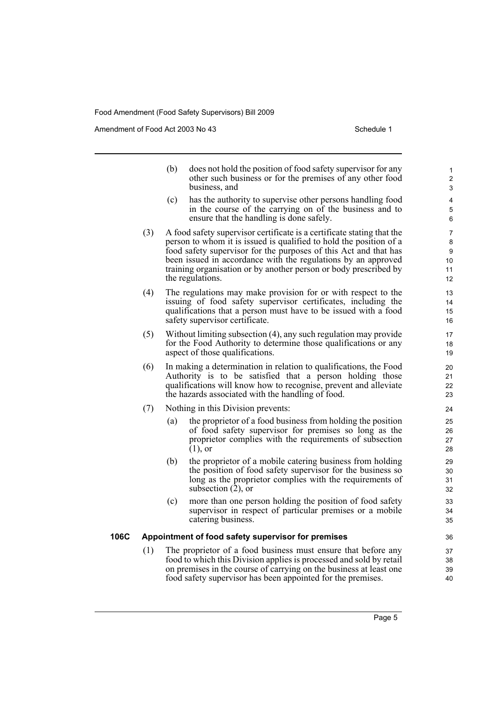the regulations.

Amendment of Food Act 2003 No 43 Schedule 1

- (b) does not hold the position of food safety supervisor for any other such business or for the premises of any other food business, and (c) has the authority to supervise other persons handling food in the course of the carrying on of the business and to ensure that the handling is done safely. (3) A food safety supervisor certificate is a certificate stating that the person to whom it is issued is qualified to hold the position of a food safety supervisor for the purposes of this Act and that has been issued in accordance with the regulations by an approved training organisation or by another person or body prescribed by
- (4) The regulations may make provision for or with respect to the issuing of food safety supervisor certificates, including the qualifications that a person must have to be issued with a food safety supervisor certificate.
- (5) Without limiting subsection (4), any such regulation may provide for the Food Authority to determine those qualifications or any aspect of those qualifications.
- (6) In making a determination in relation to qualifications, the Food Authority is to be satisfied that a person holding those qualifications will know how to recognise, prevent and alleviate the hazards associated with the handling of food.
- (7) Nothing in this Division prevents:
	- (a) the proprietor of a food business from holding the position of food safety supervisor for premises so long as the proprietor complies with the requirements of subsection  $(1)$ , or
	- (b) the proprietor of a mobile catering business from holding the position of food safety supervisor for the business so long as the proprietor complies with the requirements of subsection (2), or
	- (c) more than one person holding the position of food safety supervisor in respect of particular premises or a mobile catering business.

### **106C Appointment of food safety supervisor for premises**

(1) The proprietor of a food business must ensure that before any food to which this Division applies is processed and sold by retail on premises in the course of carrying on the business at least one food safety supervisor has been appointed for the premises.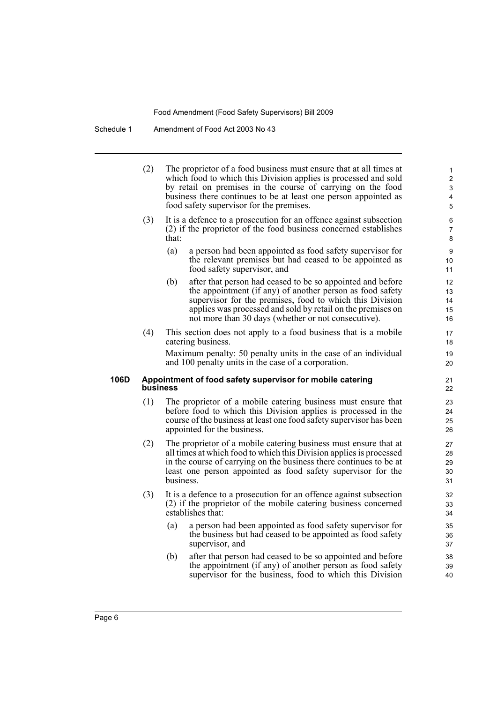Schedule 1 Amendment of Food Act 2003 No 43

(2) The proprietor of a food business must ensure that at all times at which food to which this Division applies is processed and sold by retail on premises in the course of carrying on the food business there continues to be at least one person appointed as food safety supervisor for the premises. (3) It is a defence to a prosecution for an offence against subsection (2) if the proprietor of the food business concerned establishes that: (a) a person had been appointed as food safety supervisor for the relevant premises but had ceased to be appointed as food safety supervisor, and (b) after that person had ceased to be so appointed and before the appointment (if any) of another person as food safety supervisor for the premises, food to which this Division applies was processed and sold by retail on the premises on not more than 30 days (whether or not consecutive). (4) This section does not apply to a food business that is a mobile catering business. Maximum penalty: 50 penalty units in the case of an individual and 100 penalty units in the case of a corporation. **106D Appointment of food safety supervisor for mobile catering business** (1) The proprietor of a mobile catering business must ensure that before food to which this Division applies is processed in the course of the business at least one food safety supervisor has been appointed for the business. (2) The proprietor of a mobile catering business must ensure that at 10 11 12 13 14 15 16 17 18 19 20 21 22 23  $24$ 25 26 27 28

- all times at which food to which this Division applies is processed in the course of carrying on the business there continues to be at least one person appointed as food safety supervisor for the business.
- (3) It is a defence to a prosecution for an offence against subsection (2) if the proprietor of the mobile catering business concerned establishes that:
	- (a) a person had been appointed as food safety supervisor for the business but had ceased to be appointed as food safety supervisor, and
	- (b) after that person had ceased to be so appointed and before the appointment (if any) of another person as food safety supervisor for the business, food to which this Division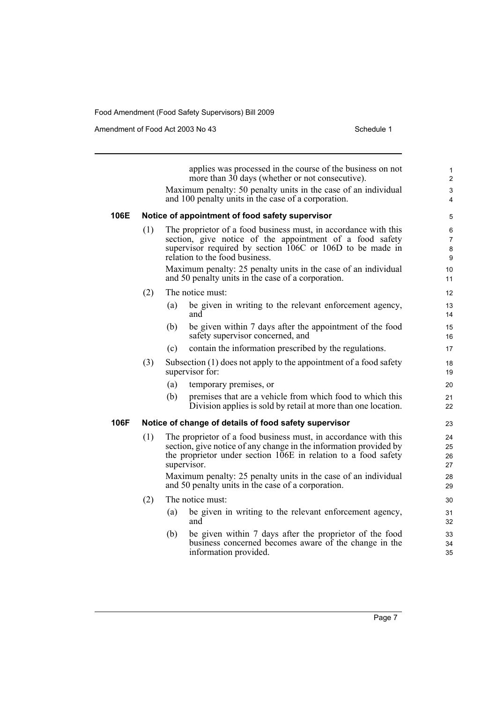Amendment of Food Act 2003 No 43 Schedule 1

applies was processed in the course of the business on not more than 30 days (whether or not consecutive). Maximum penalty: 50 penalty units in the case of an individual and 100 penalty units in the case of a corporation. **106E Notice of appointment of food safety supervisor** (1) The proprietor of a food business must, in accordance with this section, give notice of the appointment of a food safety supervisor required by section 106C or 106D to be made in relation to the food business. Maximum penalty: 25 penalty units in the case of an individual and 50 penalty units in the case of a corporation. (2) The notice must: (a) be given in writing to the relevant enforcement agency, and (b) be given within 7 days after the appointment of the food safety supervisor concerned, and (c) contain the information prescribed by the regulations. (3) Subsection (1) does not apply to the appointment of a food safety supervisor for: (a) temporary premises, or (b) premises that are a vehicle from which food to which this Division applies is sold by retail at more than one location. **106F Notice of change of details of food safety supervisor** (1) The proprietor of a food business must, in accordance with this section, give notice of any change in the information provided by the proprietor under section 106E in relation to a food safety supervisor. Maximum penalty: 25 penalty units in the case of an individual and 50 penalty units in the case of a corporation. (2) The notice must: (a) be given in writing to the relevant enforcement agency, and (b) be given within 7 days after the proprietor of the food business concerned becomes aware of the change in the information provided. 10 11 12 13 14 15 16 17 18 19 20 21  $22$ 23  $24$  $25$ 26 27 28 29 30 31 32 33 34 35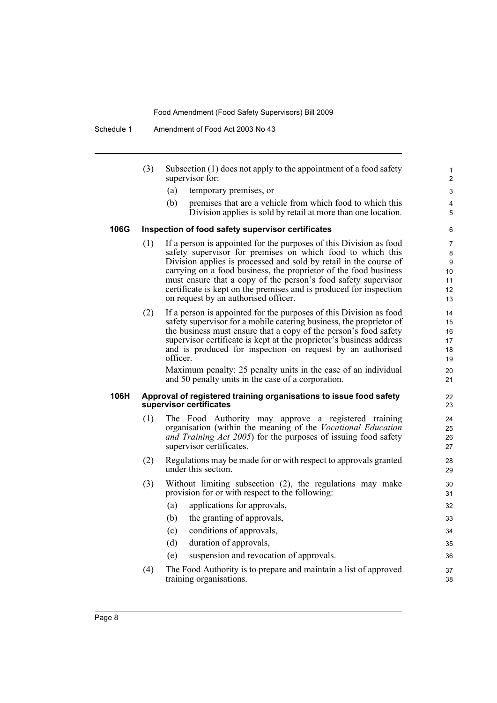Schedule 1 Amendment of Food Act 2003 No 43

- (3) Subsection (1) does not apply to the appointment of a food safety supervisor for:
	- (a) temporary premises, or
	- (b) premises that are a vehicle from which food to which this Division applies is sold by retail at more than one location.

#### **106G Inspection of food safety supervisor certificates**

- (1) If a person is appointed for the purposes of this Division as food safety supervisor for premises on which food to which this Division applies is processed and sold by retail in the course of carrying on a food business, the proprietor of the food business must ensure that a copy of the person's food safety supervisor certificate is kept on the premises and is produced for inspection on request by an authorised officer.
- (2) If a person is appointed for the purposes of this Division as food safety supervisor for a mobile catering business, the proprietor of the business must ensure that a copy of the person's food safety supervisor certificate is kept at the proprietor's business address and is produced for inspection on request by an authorised officer.

Maximum penalty: 25 penalty units in the case of an individual and 50 penalty units in the case of a corporation.

#### **106H Approval of registered training organisations to issue food safety supervisor certificates**

- (1) The Food Authority may approve a registered training organisation (within the meaning of the *Vocational Education and Training Act 2005*) for the purposes of issuing food safety supervisor certificates.
- (2) Regulations may be made for or with respect to approvals granted under this section.
- (3) Without limiting subsection (2), the regulations may make provision for or with respect to the following:
	- (a) applications for approvals, (b) the granting of approvals, 32 33
	- (c) conditions of approvals,
	- (d) duration of approvals,
	- (e) suspension and revocation of approvals.
- (4) The Food Authority is to prepare and maintain a list of approved training organisations.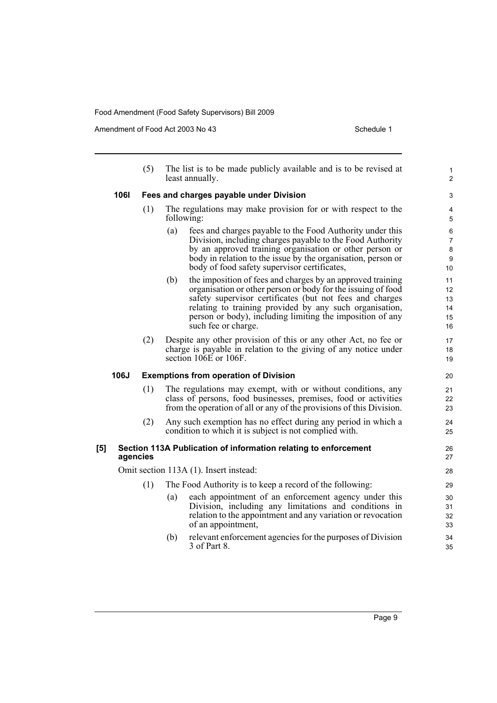Amendment of Food Act 2003 No 43 Schedule 1

|     |             | (5)                                    | The list is to be made publicly available and is to be revised at<br>least annually.                                                                                                                                                                                                                                                         | 1<br>$\overline{c}$              |  |  |
|-----|-------------|----------------------------------------|----------------------------------------------------------------------------------------------------------------------------------------------------------------------------------------------------------------------------------------------------------------------------------------------------------------------------------------------|----------------------------------|--|--|
|     | <b>1061</b> |                                        | Fees and charges payable under Division                                                                                                                                                                                                                                                                                                      | 3                                |  |  |
|     |             | (1)                                    | The regulations may make provision for or with respect to the<br>following:                                                                                                                                                                                                                                                                  | 4<br>5                           |  |  |
|     |             |                                        | fees and charges payable to the Food Authority under this<br>(a)<br>Division, including charges payable to the Food Authority<br>by an approved training organisation or other person or<br>body in relation to the issue by the organisation, person or<br>body of food safety supervisor certificates,                                     | 6<br>7<br>8<br>9<br>10           |  |  |
|     |             |                                        | the imposition of fees and charges by an approved training<br>(b)<br>organisation or other person or body for the issuing of food<br>safety supervisor certificates (but not fees and charges<br>relating to training provided by any such organisation,<br>person or body), including limiting the imposition of any<br>such fee or charge. | 11<br>12<br>13<br>14<br>15<br>16 |  |  |
|     |             | (2)                                    | Despite any other provision of this or any other Act, no fee or<br>charge is payable in relation to the giving of any notice under<br>section 106E or 106F.                                                                                                                                                                                  | 17<br>18<br>19                   |  |  |
|     | 106J        |                                        | <b>Exemptions from operation of Division</b>                                                                                                                                                                                                                                                                                                 | 20                               |  |  |
|     |             | (1)                                    | The regulations may exempt, with or without conditions, any<br>class of persons, food businesses, premises, food or activities<br>from the operation of all or any of the provisions of this Division.                                                                                                                                       | 21<br>22<br>23                   |  |  |
|     |             | (2)                                    | Any such exemption has no effect during any period in which a<br>condition to which it is subject is not complied with.                                                                                                                                                                                                                      | 24<br>25                         |  |  |
| [5] |             | agencies                               | Section 113A Publication of information relating to enforcement                                                                                                                                                                                                                                                                              | 26<br>27                         |  |  |
|     |             | Omit section 113A (1). Insert instead: |                                                                                                                                                                                                                                                                                                                                              |                                  |  |  |
|     |             | (1)                                    | The Food Authority is to keep a record of the following:                                                                                                                                                                                                                                                                                     | 29                               |  |  |
|     |             |                                        | each appointment of an enforcement agency under this<br>(a)<br>Division, including any limitations and conditions in<br>relation to the appointment and any variation or revocation<br>of an appointment,                                                                                                                                    | 30<br>31<br>32<br>33             |  |  |
|     |             |                                        | relevant enforcement agencies for the purposes of Division<br>(b)<br>3 of Part 8.                                                                                                                                                                                                                                                            | 34<br>35                         |  |  |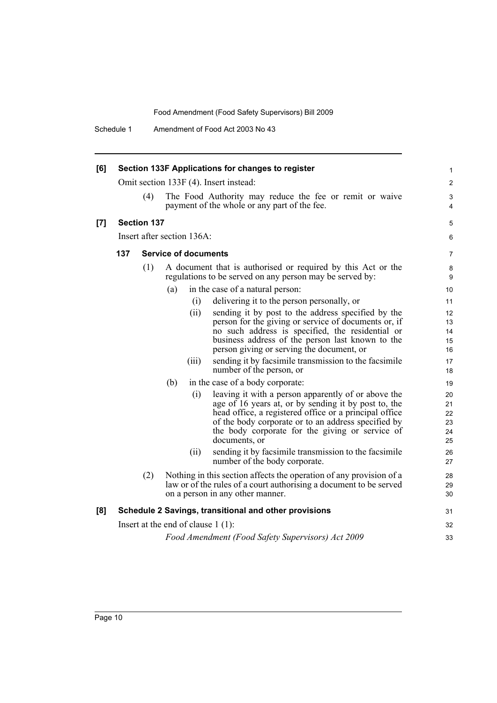Schedule 1 Amendment of Food Act 2003 No 43

| [6] | Section 133F Applications for changes to register                                                                                                                                    |                    |                                                                                                                                                                                                                                                                                                         | 1                                |
|-----|--------------------------------------------------------------------------------------------------------------------------------------------------------------------------------------|--------------------|---------------------------------------------------------------------------------------------------------------------------------------------------------------------------------------------------------------------------------------------------------------------------------------------------------|----------------------------------|
|     |                                                                                                                                                                                      |                    | Omit section 133F (4). Insert instead:                                                                                                                                                                                                                                                                  | 2                                |
|     |                                                                                                                                                                                      | (4)                | The Food Authority may reduce the fee or remit or waive<br>payment of the whole or any part of the fee.                                                                                                                                                                                                 | 3<br>4                           |
| [7] |                                                                                                                                                                                      | <b>Section 137</b> |                                                                                                                                                                                                                                                                                                         | 5                                |
|     |                                                                                                                                                                                      |                    | Insert after section 136A:                                                                                                                                                                                                                                                                              | 6                                |
|     | 137<br><b>Service of documents</b>                                                                                                                                                   |                    |                                                                                                                                                                                                                                                                                                         | 7                                |
|     |                                                                                                                                                                                      | (1)                | A document that is authorised or required by this Act or the<br>regulations to be served on any person may be served by:                                                                                                                                                                                | 8<br>9                           |
|     |                                                                                                                                                                                      |                    | in the case of a natural person:<br>(a)                                                                                                                                                                                                                                                                 | 10                               |
|     |                                                                                                                                                                                      |                    | (i)<br>delivering it to the person personally, or                                                                                                                                                                                                                                                       | 11                               |
|     |                                                                                                                                                                                      |                    | (ii)<br>sending it by post to the address specified by the<br>person for the giving or service of documents or, if<br>no such address is specified, the residential or<br>business address of the person last known to the<br>person giving or serving the document, or                                 | 12<br>13<br>14<br>15<br>16       |
|     |                                                                                                                                                                                      |                    | sending it by facsimile transmission to the facsimile<br>(iii)<br>number of the person, or                                                                                                                                                                                                              | 17<br>18                         |
|     |                                                                                                                                                                                      |                    | in the case of a body corporate:<br>(b)                                                                                                                                                                                                                                                                 | 19                               |
|     |                                                                                                                                                                                      |                    | leaving it with a person apparently of or above the<br>(i)<br>age of 16 years at, or by sending it by post to, the<br>head office, a registered office or a principal office<br>of the body corporate or to an address specified by<br>the body corporate for the giving or service of<br>documents, or | 20<br>21<br>22<br>23<br>24<br>25 |
|     |                                                                                                                                                                                      |                    | sending it by facsimile transmission to the facsimile<br>(ii)<br>number of the body corporate.                                                                                                                                                                                                          | 26<br>27                         |
|     | Nothing in this section affects the operation of any provision of a<br>(2)<br>law or of the rules of a court authorising a document to be served<br>on a person in any other manner. |                    |                                                                                                                                                                                                                                                                                                         | 28<br>29<br>30                   |
| [8] |                                                                                                                                                                                      |                    | Schedule 2 Savings, transitional and other provisions                                                                                                                                                                                                                                                   | 31                               |
|     |                                                                                                                                                                                      |                    | Insert at the end of clause $1(1)$ :                                                                                                                                                                                                                                                                    | 32                               |
|     | Food Amendment (Food Safety Supervisors) Act 2009                                                                                                                                    |                    |                                                                                                                                                                                                                                                                                                         |                                  |